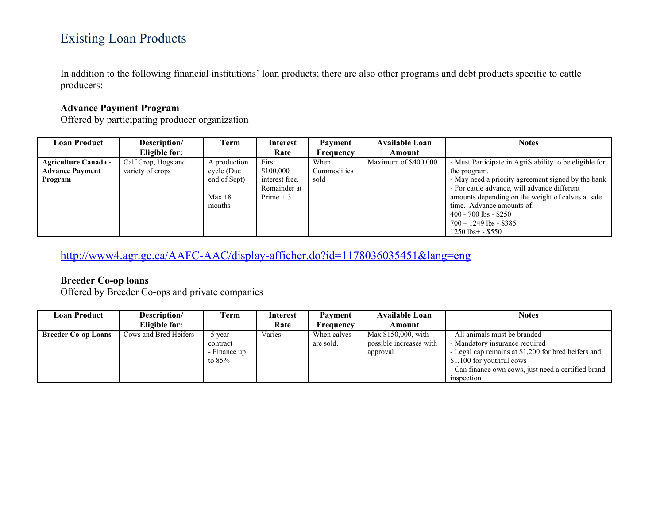# Existing Loan Products

In addition to the following financial institutions' loan products; there are also other programs and debt products specific to cattle producers:

## **Advance Payment Program**

Offered by participating producer organization

| <b>Loan Product</b>         | Description/        | Term                             | <b>Interest</b>                              | Payment          | <b>Available Loan</b> | <b>Notes</b>                                                                                                                                                                                                                                                          |
|-----------------------------|---------------------|----------------------------------|----------------------------------------------|------------------|-----------------------|-----------------------------------------------------------------------------------------------------------------------------------------------------------------------------------------------------------------------------------------------------------------------|
|                             | Eligible for:       |                                  | Rate                                         | <b>Frequency</b> | Amount                |                                                                                                                                                                                                                                                                       |
| <b>Agriculture Canada -</b> | Calf Crop, Hogs and | A production                     | First                                        | When             | Maximum of \$400,000  | - Must Participate in AgriStability to be eligible for                                                                                                                                                                                                                |
| <b>Advance Payment</b>      | variety of crops    | cycle (Due                       | \$100,000                                    | Commodities      |                       | the program.                                                                                                                                                                                                                                                          |
| Program                     |                     | end of Sept)<br>Max 18<br>months | interest free.<br>Remainder at<br>Prime $+3$ | sold             |                       | - May need a priority agreement signed by the bank<br>- For cattle advance, will advance different<br>amounts depending on the weight of calves at sale<br>time. Advance amounts of:<br>$400 - 700$ lbs $-$ \$250<br>$700 - 1249$ lbs - \$385<br>$1250$ lbs + - \$550 |

<http://www4.agr.gc.ca/AAFC-AAC/display-afficher.do?id=1178036035451&lang=eng>

### **Breeder Co-op loans**

Offered by Breeder Co-ops and private companies

| Loan Product               | Description/          | Term                                            | <b>Interest</b> | Payment                  | <b>Available Loan</b>                                      | <b>Notes</b>                                                                                                                                                                                                             |
|----------------------------|-----------------------|-------------------------------------------------|-----------------|--------------------------|------------------------------------------------------------|--------------------------------------------------------------------------------------------------------------------------------------------------------------------------------------------------------------------------|
|                            | Eligible for:         |                                                 | Rate            | Frequency                | Amount                                                     |                                                                                                                                                                                                                          |
| <b>Breeder Co-op Loans</b> | Cows and Bred Heifers | -5 year<br>contract<br>- Finance up<br>to $85%$ | Varies          | When calves<br>are sold. | Max \$150,000, with<br>possible increases with<br>approval | - All animals must be branded<br>- Mandatory insurance required<br>- Legal cap remains at \$1,200 for bred heifers and<br>\$1,100 for youthful cows<br>- Can finance own cows, just need a certified brand<br>inspection |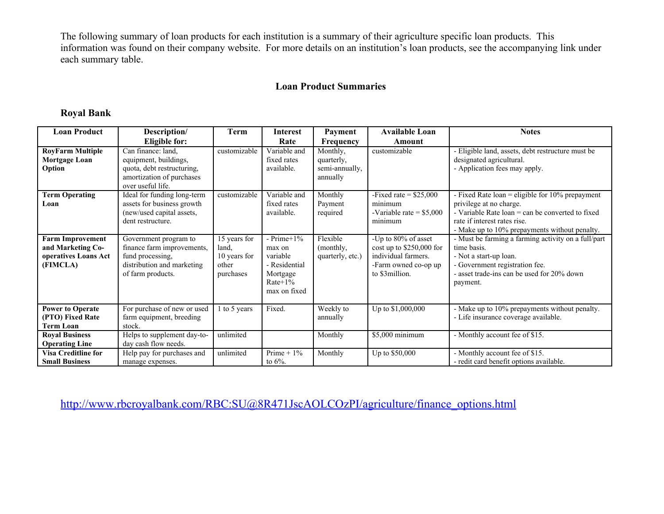The following summary of loan products for each institution is a summary of their agriculture specific loan products. This information was found on their company website. For more details on an institution's loan products, see the accompanying link under each summary table.

### **Loan Product Summaries**

#### **Royal Bank**

| <b>Loan Product</b>                                                              | Description/                                                                                                                | <b>Term</b>                                                 | <b>Interest</b>                                                                                 | Payment                                              | <b>Available Loan</b>                                                                                             | <b>Notes</b>                                                                                                                                                                                                           |
|----------------------------------------------------------------------------------|-----------------------------------------------------------------------------------------------------------------------------|-------------------------------------------------------------|-------------------------------------------------------------------------------------------------|------------------------------------------------------|-------------------------------------------------------------------------------------------------------------------|------------------------------------------------------------------------------------------------------------------------------------------------------------------------------------------------------------------------|
|                                                                                  | <b>Eligible for:</b>                                                                                                        |                                                             | Rate                                                                                            | <b>Frequency</b>                                     | Amount                                                                                                            |                                                                                                                                                                                                                        |
| <b>RoyFarm Multiple</b><br><b>Mortgage Loan</b><br>Option                        | Can finance: land,<br>equipment, buildings,<br>quota, debt restructuring,<br>amortization of purchases<br>over useful life. | customizable                                                | Variable and<br>fixed rates<br>available.                                                       | Monthly,<br>quarterly,<br>semi-annually,<br>annually | customizable                                                                                                      | - Eligible land, assets, debt restructure must be<br>designated agricultural.<br>- Application fees may apply.                                                                                                         |
| <b>Term Operating</b><br>Loan                                                    | Ideal for funding long-term<br>assets for business growth<br>(new/used capital assets,<br>dent restructure.                 | customizable                                                | Variable and<br>fixed rates<br>available.                                                       | Monthly<br>Payment<br>required                       | -Fixed rate $=$ \$25,000<br>minimum<br>-Variable rate = $$5,000$<br>minimum                                       | - Fixed Rate loan = eligible for $10\%$ prepayment<br>privilege at no charge.<br>- Variable Rate $\alpha$ = can be converted to fixed<br>rate if interest rates rise.<br>- Make up to 10% prepayments without penalty. |
| <b>Farm Improvement</b><br>and Marketing Co-<br>operatives Loans Act<br>(FIMCLA) | Government program to<br>finance farm improvements,<br>fund processing.<br>distribution and marketing<br>of farm products.  | 15 years for<br>land.<br>10 years for<br>other<br>purchases | - Prime $+1\%$<br>max on<br>variable<br>- Residential<br>Mortgage<br>$Rate+1\%$<br>max on fixed | Flexible<br>(monthly,<br>quarterly, etc.)            | -Up to 80% of asset<br>cost up to \$250,000 for<br>individual farmers.<br>-Farm owned co-op up<br>to \$3 million. | - Must be farming a farming activity on a full/part<br>time basis.<br>- Not a start-up loan.<br>- Government registration fee.<br>- asset trade-ins can be used for 20% down<br>payment.                               |
| <b>Power to Operate</b><br>(PTO) Fixed Rate<br><b>Term Loan</b>                  | For purchase of new or used<br>farm equipment, breeding<br>stock.                                                           | 1 to 5 years                                                | Fixed.                                                                                          | Weekly to<br>annually                                | Up to \$1,000,000                                                                                                 | - Make up to 10% prepayments without penalty.<br>- Life insurance coverage available.                                                                                                                                  |
| <b>Royal Business</b><br><b>Operating Line</b>                                   | Helps to supplement day-to-<br>day cash flow needs.                                                                         | unlimited                                                   |                                                                                                 | Monthly                                              | \$5,000 minimum                                                                                                   | - Monthly account fee of \$15.                                                                                                                                                                                         |
| <b>Visa Creditline for</b><br><b>Small Business</b>                              | Help pay for purchases and<br>manage expenses.                                                                              | unlimited                                                   | Prime $+1\%$<br>to $6\%$ .                                                                      | Monthly                                              | Up to \$50,000                                                                                                    | - Monthly account fee of \$15.<br>- redit card benefit options available.                                                                                                                                              |

[http://www.rbcroyalbank.com/RBC:SU@8R471JscAOLCOzPI/agriculture/finance\\_options.html](http://www.rbcroyalbank.com/RBC:SU@8R471JscAOLCOzPI/agriculture/finance_options.html)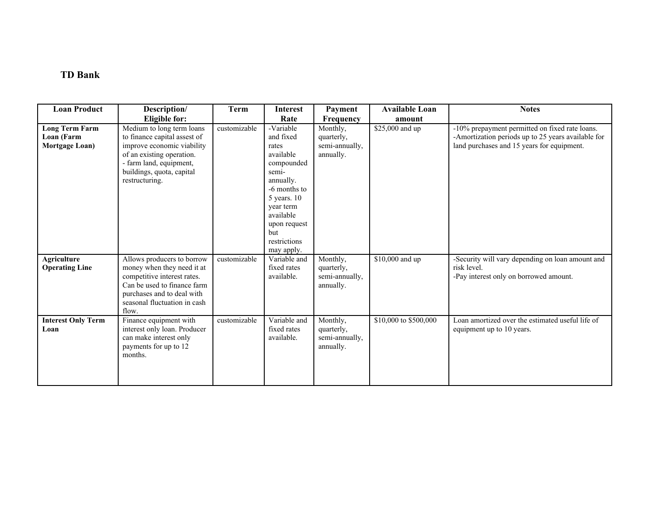## **TD Bank**

| <b>Loan Product</b>                                   | Description/                                                                                                                                                                                   | <b>Term</b>  | <b>Interest</b>                                                                                                                                                                                  | Payment                                               | <b>Available Loan</b> | <b>Notes</b>                                                                                                                                       |
|-------------------------------------------------------|------------------------------------------------------------------------------------------------------------------------------------------------------------------------------------------------|--------------|--------------------------------------------------------------------------------------------------------------------------------------------------------------------------------------------------|-------------------------------------------------------|-----------------------|----------------------------------------------------------------------------------------------------------------------------------------------------|
|                                                       | Eligible for:                                                                                                                                                                                  |              | Rate                                                                                                                                                                                             | <b>Frequency</b>                                      | amount                |                                                                                                                                                    |
| <b>Long Term Farm</b><br>Loan (Farm<br>Mortgage Loan) | Medium to long term loans<br>to finance capital assest of<br>improve economic viability<br>of an existing operation.<br>- farm land, equipment,<br>buildings, quota, capital<br>restructuring. | customizable | -Variable<br>and fixed<br>rates<br>available<br>compounded<br>semi-<br>annually.<br>-6 months to<br>$5$ years. 10<br>year term<br>available<br>upon request<br>but<br>restrictions<br>may apply. | Monthly,<br>quarterly,<br>semi-annually,<br>annually. | \$25,000 and up       | -10% prepayment permitted on fixed rate loans.<br>-Amortization periods up to 25 years available for<br>land purchases and 15 years for equipment. |
| <b>Agriculture</b><br><b>Operating Line</b>           | Allows producers to borrow<br>money when they need it at<br>competitive interest rates.<br>Can be used to finance farm<br>purchases and to deal with<br>seasonal fluctuation in cash<br>flow.  | customizable | Variable and<br>fixed rates<br>available.                                                                                                                                                        | Monthly,<br>quarterly,<br>semi-annually,<br>annually. | \$10,000 and up       | -Security will vary depending on loan amount and<br>risk level.<br>-Pay interest only on borrowed amount.                                          |
| <b>Interest Only Term</b><br>Loan                     | Finance equipment with<br>interest only loan. Producer<br>can make interest only<br>payments for up to 12<br>months.                                                                           | customizable | Variable and<br>fixed rates<br>available.                                                                                                                                                        | Monthly,<br>quarterly,<br>semi-annually,<br>annually. | \$10,000 to \$500,000 | Loan amortized over the estimated useful life of<br>equipment up to 10 years.                                                                      |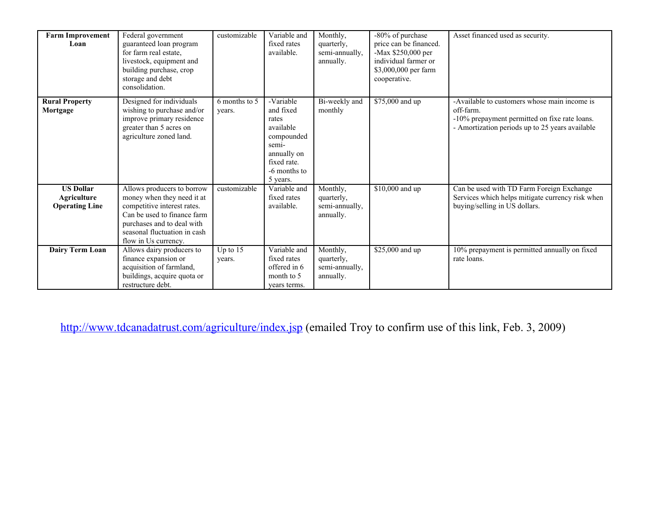| <b>Farm Improvement</b><br>Loan                          | Federal government<br>guaranteed loan program<br>for farm real estate,<br>livestock, equipment and<br>building purchase, crop<br>storage and debt<br>consolidation.                                          | customizable            | Variable and<br>fixed rates<br>available.                                                                                     | Monthly,<br>quarterly,<br>semi-annually,<br>annually. | -80% of purchase<br>price can be financed.<br>-Max \$250,000 per<br>individual farmer or<br>\$3,000,000 per farm<br>cooperative. | Asset financed used as security.                                                                                                                              |
|----------------------------------------------------------|--------------------------------------------------------------------------------------------------------------------------------------------------------------------------------------------------------------|-------------------------|-------------------------------------------------------------------------------------------------------------------------------|-------------------------------------------------------|----------------------------------------------------------------------------------------------------------------------------------|---------------------------------------------------------------------------------------------------------------------------------------------------------------|
| <b>Rural Property</b><br>Mortgage                        | Designed for individuals<br>wishing to purchase and/or<br>improve primary residence<br>greater than 5 acres on<br>agriculture zoned land.                                                                    | 6 months to 5<br>years. | -Variable<br>and fixed<br>rates<br>available<br>compounded<br>semi-<br>annually on<br>fixed rate.<br>-6 months to<br>5 years. | Bi-weekly and<br>monthly                              | \$75,000 and up                                                                                                                  | -Available to customers whose main income is<br>off-farm.<br>-10% prepayment permitted on fixe rate loans.<br>- Amortization periods up to 25 years available |
| <b>US Dollar</b><br>Agriculture<br><b>Operating Line</b> | Allows producers to borrow<br>money when they need it at<br>competitive interest rates.<br>Can be used to finance farm<br>purchases and to deal with<br>seasonal fluctuation in cash<br>flow in Us currency. | customizable            | Variable and<br>fixed rates<br>available.                                                                                     | Monthly,<br>quarterly,<br>semi-annually,<br>annually. | \$10,000 and up                                                                                                                  | Can be used with TD Farm Foreign Exchange<br>Services which helps mitigate currency risk when<br>buying/selling in US dollars.                                |
| Dairy Term Loan                                          | Allows dairy producers to<br>finance expansion or<br>acquisition of farmland,<br>buildings, acquire quota or<br>restructure debt.                                                                            | Up to 15<br>years.      | Variable and<br>fixed rates<br>offered in 6<br>month to 5<br>vears terms.                                                     | Monthly,<br>quarterly,<br>semi-annually,<br>annually. | \$25,000 and up                                                                                                                  | 10% prepayment is permitted annually on fixed<br>rate loans.                                                                                                  |

<http://www.tdcanadatrust.com/agriculture/index.jsp>(emailed Troy to confirm use of this link, Feb. 3, 2009)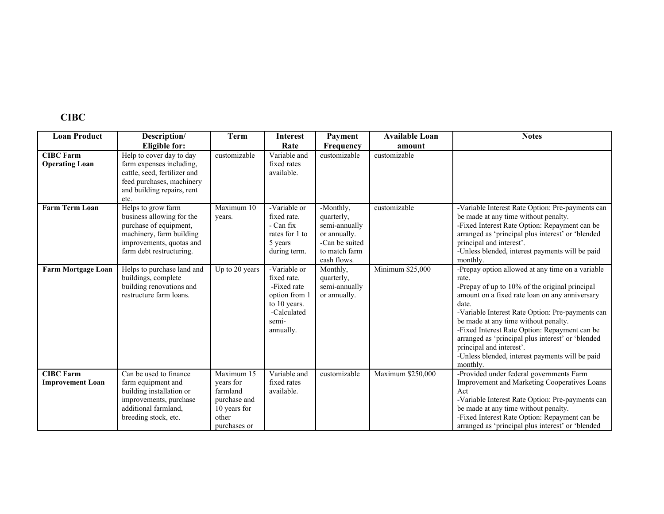## **CIBC**

| <b>Loan Product</b>                         | Description/                                                                                                                                                  | <b>Term</b>                                                                                  | <b>Interest</b>                                                                                                  | Payment                                                                                                    | <b>Available Loan</b> | <b>Notes</b>                                                                                                                                                                                                                                                                                                                                                                                                                                                        |
|---------------------------------------------|---------------------------------------------------------------------------------------------------------------------------------------------------------------|----------------------------------------------------------------------------------------------|------------------------------------------------------------------------------------------------------------------|------------------------------------------------------------------------------------------------------------|-----------------------|---------------------------------------------------------------------------------------------------------------------------------------------------------------------------------------------------------------------------------------------------------------------------------------------------------------------------------------------------------------------------------------------------------------------------------------------------------------------|
|                                             | <b>Eligible for:</b>                                                                                                                                          |                                                                                              | Rate                                                                                                             | <b>Frequency</b>                                                                                           | amount                |                                                                                                                                                                                                                                                                                                                                                                                                                                                                     |
| <b>CIBC Farm</b><br><b>Operating Loan</b>   | Help to cover day to day<br>farm expenses including,<br>cattle, seed, fertilizer and<br>feed purchases, machinery<br>and building repairs, rent<br>etc.       | customizable                                                                                 | Variable and<br>fixed rates<br>available.                                                                        | customizable                                                                                               | customizable          |                                                                                                                                                                                                                                                                                                                                                                                                                                                                     |
| <b>Farm Term Loan</b>                       | Helps to grow farm<br>business allowing for the<br>purchase of equipment,<br>machinery, farm building<br>improvements, quotas and<br>farm debt restructuring. | Maximum 10<br>years.                                                                         | -Variable or<br>fixed rate.<br>- Can fix<br>rates for 1 to<br>5 years<br>during term.                            | -Monthly,<br>quarterly,<br>semi-annually<br>or annually.<br>-Can be suited<br>to match farm<br>cash flows. | customizable          | -Variable Interest Rate Option: Pre-payments can<br>be made at any time without penalty.<br>-Fixed Interest Rate Option: Repayment can be<br>arranged as 'principal plus interest' or 'blended<br>principal and interest'.<br>-Unless blended, interest payments will be paid<br>monthly.                                                                                                                                                                           |
| <b>Farm Mortgage Loan</b>                   | Helps to purchase land and<br>buildings, complete<br>building renovations and<br>restructure farm loans.                                                      | $Up$ to 20 years                                                                             | -Variable or<br>fixed rate.<br>-Fixed rate<br>option from 1<br>to 10 years.<br>-Calculated<br>semi-<br>annually. | Monthly,<br>quarterly,<br>semi-annually<br>or annually.                                                    | Minimum \$25,000      | -Prepay option allowed at any time on a variable<br>rate.<br>-Prepay of up to 10% of the original principal<br>amount on a fixed rate loan on any anniversary<br>date.<br>-Variable Interest Rate Option: Pre-payments can<br>be made at any time without penalty.<br>-Fixed Interest Rate Option: Repayment can be<br>arranged as 'principal plus interest' or 'blended<br>principal and interest'.<br>-Unless blended, interest payments will be paid<br>monthly. |
| <b>CIBC Farm</b><br><b>Improvement Loan</b> | Can be used to finance<br>farm equipment and<br>building installation or<br>improvements, purchase<br>additional farmland,<br>breeding stock, etc.            | Maximum 15<br>vears for<br>farmland<br>purchase and<br>10 years for<br>other<br>purchases or | Variable and<br>fixed rates<br>available.                                                                        | customizable                                                                                               | Maximum \$250,000     | -Provided under federal governments Farm<br>Improvement and Marketing Cooperatives Loans<br>Act<br>-Variable Interest Rate Option: Pre-payments can<br>be made at any time without penalty.<br>-Fixed Interest Rate Option: Repayment can be<br>arranged as 'principal plus interest' or 'blended                                                                                                                                                                   |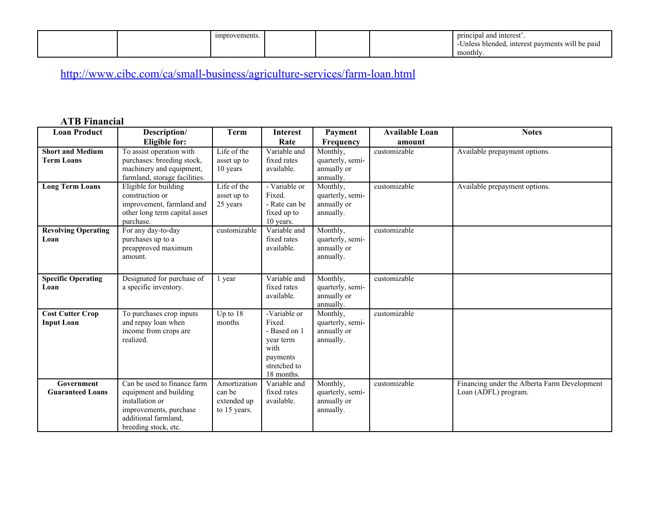| vements.<br>umprov. | brincipal and interest.                                             |
|---------------------|---------------------------------------------------------------------|
|                     | interest payments<br>will be paid<br>s blended.<br>Jnies<br>monthly |

# <http://www.cibc.com/ca/small-business/agriculture-services/farm-loan.html>

## **ATB Financial**

| <b>Loan Product</b>        | Description/                   | <b>Term</b>  | <b>Interest</b>          | Payment          | <b>Available Loan</b> | <b>Notes</b>                                 |
|----------------------------|--------------------------------|--------------|--------------------------|------------------|-----------------------|----------------------------------------------|
|                            | <b>Eligible for:</b>           |              | Rate                     | Frequency        | amount                |                                              |
| <b>Short and Medium</b>    | To assist operation with       | Life of the  | Variable and             | Monthly,         | customizable          | Available prepayment options.                |
| <b>Term Loans</b>          | purchases: breeding stock,     | asset up to  | fixed rates              | quarterly, semi- |                       |                                              |
|                            | machinery and equipment,       | 10 years     | available.               | annually or      |                       |                                              |
|                            | farmland, storage facilities.  |              |                          | annually.        |                       |                                              |
| <b>Long Term Loans</b>     | Eligible for building          | Life of the  | - Variable or            | Monthly,         | customizable          | Available prepayment options.                |
|                            | construction or                | asset up to  | Fixed.                   | quarterly, semi- |                       |                                              |
|                            | improvement, farmland and      | 25 years     | - Rate can be            | annually or      |                       |                                              |
|                            | other long term capital asset  |              | fixed up to              | annually.        |                       |                                              |
|                            | purchase.                      |              | 10 years.                |                  |                       |                                              |
| <b>Revolving Operating</b> | For any day-to-day             | customizable | Variable and             | Monthly,         | customizable          |                                              |
| Loan                       | purchases up to a              |              | fixed rates              | quarterly, semi- |                       |                                              |
|                            | preapproved maximum<br>amount. |              | available.               | annually or      |                       |                                              |
|                            |                                |              |                          | annually.        |                       |                                              |
|                            |                                |              |                          |                  |                       |                                              |
| <b>Specific Operating</b>  | Designated for purchase of     | 1 year       | Variable and             | Monthly,         | customizable          |                                              |
| Loan                       | a specific inventory.          |              | fixed rates              | quarterly, semi- |                       |                                              |
|                            |                                |              | available.               | annually or      |                       |                                              |
|                            |                                |              |                          | annually.        |                       |                                              |
| <b>Cost Cutter Crop</b>    | To purchases crop inputs       | Up to 18     | -Variable or             | Monthly,         | customizable          |                                              |
| <b>Input Loan</b>          | and repay loan when            | months       | Fixed.                   | quarterly, semi- |                       |                                              |
|                            | income from crops are          |              | - Based on 1             | annually or      |                       |                                              |
|                            | realized.                      |              | year term<br>with        | annually.        |                       |                                              |
|                            |                                |              |                          |                  |                       |                                              |
|                            |                                |              | payments<br>stretched to |                  |                       |                                              |
|                            |                                |              | 18 months.               |                  |                       |                                              |
| Government                 | Can be used to finance farm    | Amortization | Variable and             | Monthly,         | customizable          | Financing under the Alberta Farm Development |
| <b>Guaranteed Loans</b>    | equipment and building         | can be       | fixed rates              | quarterly, semi- |                       | Loan (ADFL) program.                         |
|                            | installation or                | extended up  | available.               | annually or      |                       |                                              |
|                            | improvements, purchase         | to 15 years. |                          | annually.        |                       |                                              |
|                            | additional farmland.           |              |                          |                  |                       |                                              |
|                            | breeding stock, etc.           |              |                          |                  |                       |                                              |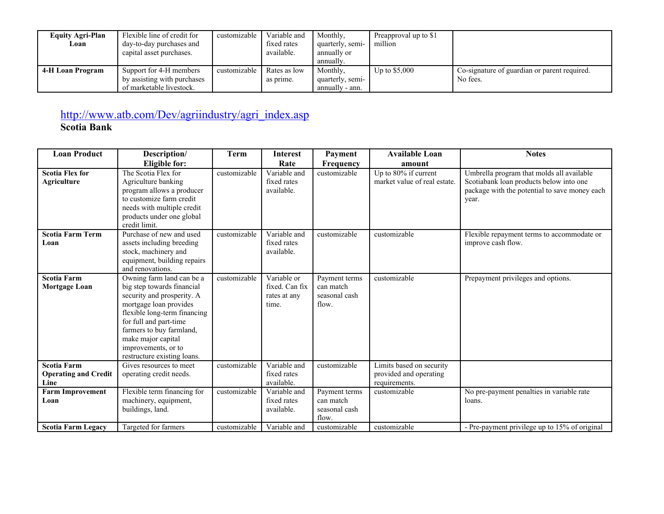| <b>Equity Agri-Plan</b><br>Loan | Flexible line of credit for<br>day-to-day purchases and<br>capital asset purchases. | customizable | Variable and<br>fixed rates<br>available. | Monthly,<br>quarterly, semi-<br>annually or<br>annually. | Preapproval up to \$1<br>million |                                                          |
|---------------------------------|-------------------------------------------------------------------------------------|--------------|-------------------------------------------|----------------------------------------------------------|----------------------------------|----------------------------------------------------------|
| 4-H Loan Program                | Support for 4-H members<br>by assisting with purchases<br>of marketable livestock.  | customizable | Rates as low<br>as prime.                 | Monthly,<br>quarterly, semi-<br>annually - ann.          | Up to $$5,000$                   | Co-signature of guardian or parent required.<br>No fees. |

# [http://www.atb.com/Dev/agriindustry/agri\\_index.asp](http://www.atb.com/Dev/agriindustry/agri_index.asp)

**Scotia Bank** 

| <b>Loan Product</b>                                | Description/                                                                                                                                                                                                                                                                      | Term         | <b>Interest</b>                                        | Payment                                              | <b>Available Loan</b>                                               | <b>Notes</b>                                                                                                                                   |
|----------------------------------------------------|-----------------------------------------------------------------------------------------------------------------------------------------------------------------------------------------------------------------------------------------------------------------------------------|--------------|--------------------------------------------------------|------------------------------------------------------|---------------------------------------------------------------------|------------------------------------------------------------------------------------------------------------------------------------------------|
|                                                    | Eligible for:                                                                                                                                                                                                                                                                     |              | Rate                                                   | <b>Frequency</b>                                     | amount                                                              |                                                                                                                                                |
| <b>Scotia Flex for</b><br>Agriculture              | The Scotia Flex for<br>Agriculture banking<br>program allows a producer<br>to customize farm credit<br>needs with multiple credit<br>products under one global<br>credit limit.                                                                                                   | customizable | Variable and<br>fixed rates<br>available.              | customizable                                         | Up to 80% if current<br>market value of real estate.                | Umbrella program that molds all available<br>Scotiabank loan products below into one<br>package with the potential to save money each<br>year. |
| <b>Scotia Farm Term</b><br>Loan                    | Purchase of new and used<br>assets including breeding<br>stock, machinery and<br>equipment, building repairs<br>and renovations.                                                                                                                                                  | customizable | Variable and<br>fixed rates<br>available.              | customizable                                         | customizable                                                        | Flexible repayment terms to accommodate or<br>improve cash flow.                                                                               |
| <b>Scotia Farm</b><br>Mortgage Loan                | Owning farm land can be a<br>big step towards financial<br>security and prosperity. A<br>mortgage loan provides<br>flexible long-term financing<br>for full and part-time<br>farmers to buy farmland,<br>make major capital<br>improvements, or to<br>restructure existing loans. | customizable | Variable or<br>fixed. Can fix<br>rates at any<br>time. | Payment terms<br>can match<br>seasonal cash<br>flow. | customizable                                                        | Prepayment privileges and options.                                                                                                             |
| Scotia Farm<br><b>Operating and Credit</b><br>Line | Gives resources to meet<br>operating credit needs.                                                                                                                                                                                                                                | customizable | Variable and<br>fixed rates<br>available.              | customizable                                         | Limits based on security<br>provided and operating<br>requirements. |                                                                                                                                                |
| <b>Farm Improvement</b><br>Loan                    | Flexible term financing for<br>machinery, equipment,<br>buildings, land.                                                                                                                                                                                                          | customizable | Variable and<br>fixed rates<br>available.              | Payment terms<br>can match<br>seasonal cash<br>flow. | customizable                                                        | No pre-payment penalties in variable rate<br>loans.                                                                                            |
| <b>Scotia Farm Legacy</b>                          | Targeted for farmers                                                                                                                                                                                                                                                              | customizable | Variable and                                           | customizable                                         | customizable                                                        | - Pre-payment privilege up to 15% of original                                                                                                  |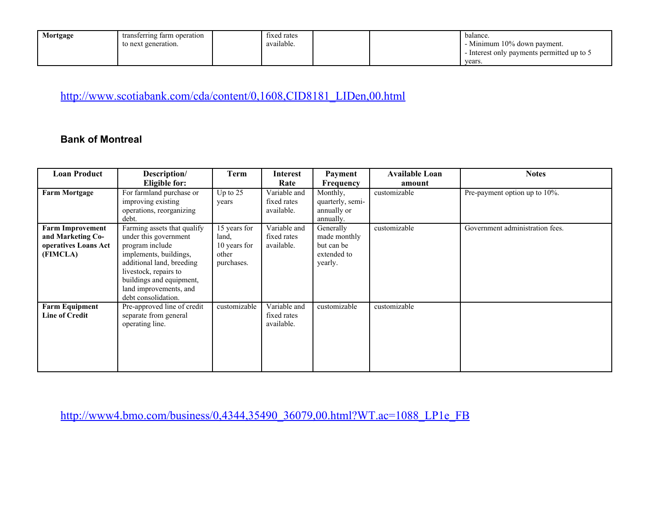| Mortgage | transferring farm operation | fixed rates |  | balance                                    |
|----------|-----------------------------|-------------|--|--------------------------------------------|
|          | to next generation.         | available.  |  | - Minimum 10% down payment.                |
|          |                             |             |  | - Interest only payments permitted up to 5 |
|          |                             |             |  | years.                                     |

[http://www.scotiabank.com/cda/content/0,1608,CID8181\\_LIDen,00.html](http://www.scotiabank.com/cda/content/0,1608,CID8181_LIDen,00.html)

### **Bank of Montreal**

| <b>Loan Product</b>     | Description/                                        | Term                | <b>Interest</b>           | Payment                         | <b>Available Loan</b> | <b>Notes</b>                    |
|-------------------------|-----------------------------------------------------|---------------------|---------------------------|---------------------------------|-----------------------|---------------------------------|
|                         | Eligible for:                                       |                     | Rate                      | Frequency                       | amount                |                                 |
| <b>Farm Mortgage</b>    | For farmland purchase or                            | Up to $25$          | Variable and              | Monthly,                        | customizable          | Pre-payment option up to 10%.   |
|                         | improving existing<br>operations, reorganizing      | years               | fixed rates<br>available. | quarterly, semi-<br>annually or |                       |                                 |
|                         | debt.                                               |                     |                           | annually.                       |                       |                                 |
| <b>Farm Improvement</b> | Farming assets that qualify                         | 15 years for        | Variable and              | Generally                       | customizable          | Government administration fees. |
| and Marketing Co-       | under this government                               | land,               | fixed rates               | made monthly                    |                       |                                 |
| operatives Loans Act    | program include                                     | 10 years for        | available.                | but can be                      |                       |                                 |
| (FIMCLA)                | implements, buildings,<br>additional land, breeding | other<br>purchases. |                           | extended to<br>yearly.          |                       |                                 |
|                         | livestock, repairs to                               |                     |                           |                                 |                       |                                 |
|                         | buildings and equipment,                            |                     |                           |                                 |                       |                                 |
|                         | land improvements, and                              |                     |                           |                                 |                       |                                 |
|                         | debt consolidation.                                 |                     |                           |                                 |                       |                                 |
| <b>Farm Equipment</b>   | Pre-approved line of credit                         | customizable        | Variable and              | customizable                    | customizable          |                                 |
| <b>Line of Credit</b>   | separate from general                               |                     | fixed rates               |                                 |                       |                                 |
|                         | operating line.                                     |                     | available.                |                                 |                       |                                 |
|                         |                                                     |                     |                           |                                 |                       |                                 |
|                         |                                                     |                     |                           |                                 |                       |                                 |
|                         |                                                     |                     |                           |                                 |                       |                                 |
|                         |                                                     |                     |                           |                                 |                       |                                 |

[http://www4.bmo.com/business/0,4344,35490\\_36079,00.html?WT.ac=1088\\_LP1e\\_FB](http://www4.bmo.com/business/0,4344,35490_36079,00.html?WT.ac=1088_LP1e_FB)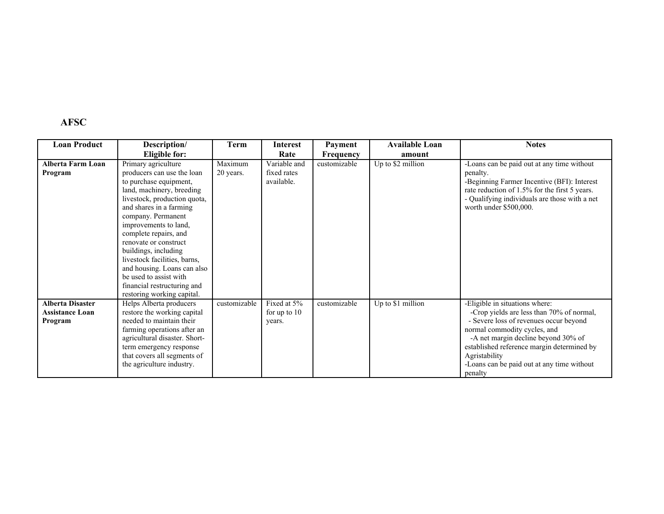# **AFSC**

| <b>Loan Product</b>      | Description/                  | <b>Term</b>  | <b>Interest</b> | Payment          | <b>Available Loan</b> | <b>Notes</b>                                  |
|--------------------------|-------------------------------|--------------|-----------------|------------------|-----------------------|-----------------------------------------------|
|                          | Eligible for:                 |              | Rate            | <b>Frequency</b> | amount                |                                               |
| <b>Alberta Farm Loan</b> | Primary agriculture           | Maximum      | Variable and    | customizable     | Up to \$2 million     | -Loans can be paid out at any time without    |
| Program                  | producers can use the loan    | 20 years.    | fixed rates     |                  |                       | penalty.                                      |
|                          | to purchase equipment,        |              | available.      |                  |                       | -Beginning Farmer Incentive (BFI): Interest   |
|                          | land, machinery, breeding     |              |                 |                  |                       | rate reduction of 1.5% for the first 5 years. |
|                          | livestock, production quota,  |              |                 |                  |                       | - Qualifying individuals are those with a net |
|                          | and shares in a farming       |              |                 |                  |                       | worth under \$500,000.                        |
|                          | company. Permanent            |              |                 |                  |                       |                                               |
|                          | improvements to land,         |              |                 |                  |                       |                                               |
|                          | complete repairs, and         |              |                 |                  |                       |                                               |
|                          | renovate or construct         |              |                 |                  |                       |                                               |
|                          | buildings, including          |              |                 |                  |                       |                                               |
|                          | livestock facilities, barns,  |              |                 |                  |                       |                                               |
|                          | and housing. Loans can also   |              |                 |                  |                       |                                               |
|                          | be used to assist with        |              |                 |                  |                       |                                               |
|                          | financial restructuring and   |              |                 |                  |                       |                                               |
|                          | restoring working capital.    |              |                 |                  |                       |                                               |
| <b>Alberta Disaster</b>  | Helps Alberta producers       | customizable | Fixed at 5%     | customizable     | Up to \$1 million     | -Eligible in situations where:                |
| <b>Assistance Loan</b>   | restore the working capital   |              | for up to $10$  |                  |                       | -Crop yields are less than 70% of normal,     |
| Program                  | needed to maintain their      |              | years.          |                  |                       | - Severe loss of revenues occur beyond        |
|                          | farming operations after an   |              |                 |                  |                       | normal commodity cycles, and                  |
|                          | agricultural disaster. Short- |              |                 |                  |                       | -A net margin decline beyond 30% of           |
|                          | term emergency response       |              |                 |                  |                       | established reference margin determined by    |
|                          | that covers all segments of   |              |                 |                  |                       | Agristability                                 |
|                          | the agriculture industry.     |              |                 |                  |                       | -Loans can be paid out at any time without    |
|                          |                               |              |                 |                  |                       | penalty                                       |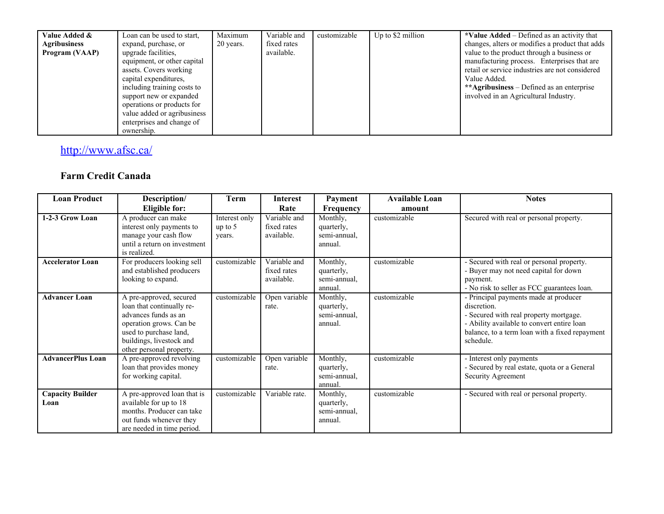| Value Added &<br><b>Agribusiness</b><br>Program (VAAP) | Loan can be used to start,<br>expand, purchase, or<br>upgrade facilities,<br>equipment, or other capital<br>assets. Covers working                                                      | Maximum<br>20 years. | Variable and<br>fixed rates<br>available. | customizable | Up to \$2 million | *Value $\text{Added}$ – Defined as an activity that<br>changes, alters or modifies a product that adds<br>value to the product through a business or<br>manufacturing process. Enterprises that are<br>retail or service industries are not considered |
|--------------------------------------------------------|-----------------------------------------------------------------------------------------------------------------------------------------------------------------------------------------|----------------------|-------------------------------------------|--------------|-------------------|--------------------------------------------------------------------------------------------------------------------------------------------------------------------------------------------------------------------------------------------------------|
|                                                        | capital expenditures,<br>including training costs to<br>support new or expanded<br>operations or products for<br>value added or agribusiness<br>enterprises and change of<br>ownership. |                      |                                           |              |                   | Value Added.<br>**Agribusiness – Defined as an enterprise<br>involved in an Agricultural Industry.                                                                                                                                                     |

# <http://www.afsc.ca/>

## **Farm Credit Canada**

| <b>Loan Product</b>             | Description/                                                                                                                                                                              | Term                                 | <b>Interest</b>                           | Payment                                           | <b>Available Loan</b> | <b>Notes</b>                                                                                                                                                                                                |
|---------------------------------|-------------------------------------------------------------------------------------------------------------------------------------------------------------------------------------------|--------------------------------------|-------------------------------------------|---------------------------------------------------|-----------------------|-------------------------------------------------------------------------------------------------------------------------------------------------------------------------------------------------------------|
|                                 | Eligible for:                                                                                                                                                                             |                                      | Rate                                      | <b>Frequency</b>                                  | amount                |                                                                                                                                                                                                             |
| 1-2-3 Grow Loan                 | A producer can make<br>interest only payments to<br>manage your cash flow<br>until a return on investment<br>is realized.                                                                 | Interest only<br>up to $5$<br>years. | Variable and<br>fixed rates<br>available. | Monthly,<br>quarterly,<br>semi-annual,<br>annual. | customizable          | Secured with real or personal property.                                                                                                                                                                     |
| <b>Accelerator Loan</b>         | For producers looking sell<br>and established producers<br>looking to expand.                                                                                                             | customizable                         | Variable and<br>fixed rates<br>available. | Monthly,<br>quarterly,<br>semi-annual,<br>annual. | customizable          | - Secured with real or personal property.<br>- Buyer may not need capital for down<br>payment.<br>- No risk to seller as FCC guarantees loan.                                                               |
| <b>Advancer Loan</b>            | A pre-approved, secured<br>loan that continually re-<br>advances funds as an<br>operation grows. Can be<br>used to purchase land,<br>buildings, livestock and<br>other personal property. | customizable                         | Open variable<br>rate.                    | Monthly,<br>quarterly,<br>semi-annual,<br>annual. | customizable          | - Principal payments made at producer<br>discretion.<br>- Secured with real property mortgage.<br>- Ability available to convert entire loan<br>balance, to a term loan with a fixed repayment<br>schedule. |
| <b>AdvancerPlus Loan</b>        | A pre-approved revolving<br>loan that provides money<br>for working capital.                                                                                                              | customizable                         | Open variable<br>rate.                    | Monthly,<br>quarterly,<br>semi-annual,<br>annual. | customizable          | - Interest only payments<br>- Secured by real estate, quota or a General<br>Security Agreement                                                                                                              |
| <b>Capacity Builder</b><br>Loan | A pre-approved loan that is<br>available for up to 18<br>months. Producer can take<br>out funds whenever they<br>are needed in time period.                                               | customizable                         | Variable rate.                            | Monthly,<br>quarterly,<br>semi-annual.<br>annual. | customizable          | - Secured with real or personal property.                                                                                                                                                                   |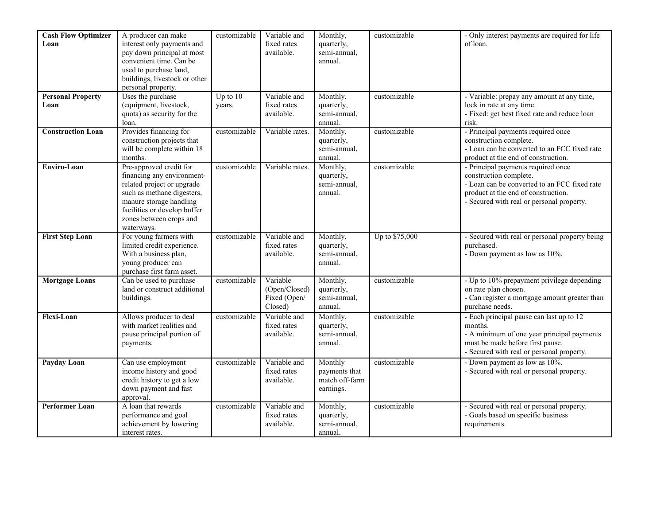| <b>Cash Flow Optimizer</b> | A producer can make                                     | customizable | Variable and    | Monthly,       | customizable   | - Only interest payments are required for life |
|----------------------------|---------------------------------------------------------|--------------|-----------------|----------------|----------------|------------------------------------------------|
| Loan                       | interest only payments and                              |              | fixed rates     | quarterly,     |                | of loan.                                       |
|                            | pay down principal at most                              |              | available.      | semi-annual,   |                |                                                |
|                            | convenient time. Can be                                 |              |                 | annual.        |                |                                                |
|                            | used to purchase land,                                  |              |                 |                |                |                                                |
|                            | buildings, livestock or other                           |              |                 |                |                |                                                |
|                            | personal property.                                      |              |                 |                |                |                                                |
| <b>Personal Property</b>   | Uses the purchase                                       | Up to $10$   | Variable and    | Monthly,       | customizable   | - Variable: prepay any amount at any time,     |
| Loan                       | (equipment, livestock,                                  | years.       | fixed rates     | quarterly,     |                | lock in rate at any time.                      |
|                            | quota) as security for the                              |              | available.      | semi-annual,   |                | - Fixed: get best fixed rate and reduce loan   |
|                            | loan.                                                   |              |                 | annual.        |                | risk.                                          |
| <b>Construction Loan</b>   | Provides financing for                                  | customizable | Variable rates. | Monthly,       | customizable   | - Principal payments required once             |
|                            | construction projects that                              |              |                 | quarterly,     |                | construction complete.                         |
|                            | will be complete within 18                              |              |                 | semi-annual,   |                | - Loan can be converted to an FCC fixed rate   |
|                            | months.                                                 |              |                 | annual.        |                | product at the end of construction.            |
| Enviro-Loan                | Pre-approved credit for                                 | customizable | Variable rates. | Monthly,       | customizable   | - Principal payments required once             |
|                            | financing any environment-                              |              |                 | quarterly,     |                | construction complete.                         |
|                            | related project or upgrade                              |              |                 | semi-annual,   |                | - Loan can be converted to an FCC fixed rate   |
|                            | such as methane digesters,                              |              |                 | annual.        |                | product at the end of construction.            |
|                            | manure storage handling                                 |              |                 |                |                | - Secured with real or personal property.      |
|                            | facilities or develop buffer<br>zones between crops and |              |                 |                |                |                                                |
|                            | waterways.                                              |              |                 |                |                |                                                |
| <b>First Step Loan</b>     | For young farmers with                                  | customizable | Variable and    | Monthly,       | Up to \$75,000 | - Secured with real or personal property being |
|                            | limited credit experience.                              |              | fixed rates     | quarterly,     |                | purchased.                                     |
|                            | With a business plan,                                   |              | available.      | semi-annual,   |                | - Down payment as low as 10%.                  |
|                            | young producer can                                      |              |                 | annual.        |                |                                                |
|                            | purchase first farm asset.                              |              |                 |                |                |                                                |
| <b>Mortgage Loans</b>      | Can be used to purchase                                 | customizable | Variable        | Monthly,       | customizable   | - Up to 10% prepayment privilege depending     |
|                            | land or construct additional                            |              | (Open/Closed)   | quarterly,     |                | on rate plan chosen.                           |
|                            | buildings.                                              |              | Fixed (Open/    | semi-annual,   |                | - Can register a mortgage amount greater than  |
|                            |                                                         |              | Closed)         | annual.        |                | purchase needs.                                |
| Flexi-Loan                 | Allows producer to deal                                 | customizable | Variable and    | Monthly,       | customizable   | - Each principal pause can last up to 12       |
|                            | with market realities and                               |              | fixed rates     | quarterly,     |                | months.                                        |
|                            | pause principal portion of                              |              | available.      | semi-annual,   |                | - A minimum of one year principal payments     |
|                            | payments.                                               |              |                 | annual.        |                | must be made before first pause.               |
|                            |                                                         |              |                 |                |                | - Secured with real or personal property.      |
| Payday Loan                | Can use employment                                      | customizable | Variable and    | Monthly        | customizable   | - Down payment as low as 10%.                  |
|                            | income history and good                                 |              | fixed rates     | payments that  |                | - Secured with real or personal property.      |
|                            | credit history to get a low                             |              | available.      | match off-farm |                |                                                |
|                            | down payment and fast                                   |              |                 | earnings.      |                |                                                |
|                            | approval.                                               |              |                 |                |                |                                                |
| <b>Performer Loan</b>      | A loan that rewards                                     | customizable | Variable and    | Monthly,       | customizable   | - Secured with real or personal property.      |
|                            | performance and goal                                    |              | fixed rates     | quarterly,     |                | - Goals based on specific business             |
|                            | achievement by lowering                                 |              | available.      | semi-annual,   |                | requirements.                                  |
|                            | interest rates.                                         |              |                 | annual.        |                |                                                |